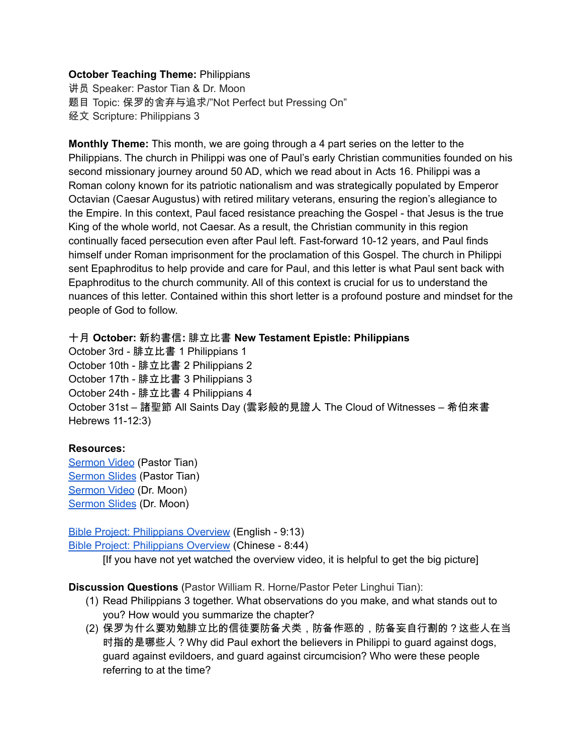## **October Teaching Theme:** Philippians

讲员 Speaker: Pastor Tian & Dr. Moon 题目 Topic: 保罗的舍弃与追求/"Not Perfect but Pressing On" 经文 Scripture: Philippians 3

<span id="page-0-0"></span>**Monthly Theme:** This month, we are going through a 4 part series on the letter to the Philippians. The church in Philippi was one of Paul's early Christian communities founded on his second missionary journey around 50 AD, which we read about in [A](https://ref.ly/logosref/bible$2Bniv.65.16)cts 16. Philippi was a Roman colony known for its patriotic nationalism and was strategically populated by Emperor Octavian (Caesar Augustus) with retired military veterans, ensuring the region's allegiance to the Empire. In this context, Paul faced resistance preaching the Gospel - that Jesus is the true King of the whole world, not Caesar. As a result, the Christian community in this region continually faced persecution even after Paul left. Fast-forward 10-12 years, and Paul finds himself under Roman imprisonment for the proclamation of this Gospel. The church in Philippi sent Epaphroditus to help provide and care for Paul, and this letter is what Paul sent back with Epaphroditus to the church community. All of this context is crucial for us to understand the nuances of this letter. Contained within this short letter is a profound posture and mindset for the people of God to follow.

## 十月 **October:** 新約書信**:** 腓立比書 **New Testament Epistle: Philippians**

October 3rd - 腓立比書 1 Philippians 1 October 10th - 腓立比書 2 Philippians 2 October 17th - 腓立比書 3 Philippians 3 October 24th - 腓立比書 4 Philippians 4 October 31st – 諸聖節 All Saints Day (雲彩般的見證人 The Cloud of Witnesses – 希伯來書 Hebrews 11-12:3)

## **Resources:**

[Sermon](https://www.youtube.com/watch?v=e-TYsyXWwNc) Video (Pastor Tian) [Sermon](https://docs.google.com/presentation/d/1LwZubnFbPF_oO4gu7jBwVS-VFgviuu0m/edit?usp=sharing&ouid=111022305003760555164&rtpof=true&sd=true) Slides (Pastor Tian) [Sermon](https://www.youtube.com/watch?v=dqE-1jzF5rI) Video (Dr. Moon) [Sermon](https://docs.google.com/presentation/d/1CxNr1iIx3r5yXg1LppuglEX45Lw_RdE3/edit?usp=sharing&ouid=111022305003760555164&rtpof=true&sd=true) Slides (Dr. Moon)

Bible Project: [Philippians](https://bibleproject.com/explore/video/philippians/) Overview (English - 9:13) Bible Project: [Philippians](https://www.youtube.com/watch?v=Yjgj7Lfm6vM&list=PLE-R0uydm0uMPY7cu-kuEkcPHAM0M9Cby&index=16) Overview (Chinese - 8:44)

[If you have not yet watched the overview video, it is helpful to get the big picture]

**Discussion Questions** (Pastor William R. Horne/Pastor Peter Linghui Tian):

- (1) Read Philippians 3 together. What observations do you make, and what stands out to you? How would you summarize the chapter?
- (2) 保罗为什么要劝勉腓立比的信徒要防备犬类,防备作恶的,防备妄自行割的?这些人在当 时指的是哪些人?Why did Paul exhort the believers in Philippi to guard against dogs, guard against evildoers, and guard against circumcision? Who were these people referring to at the time?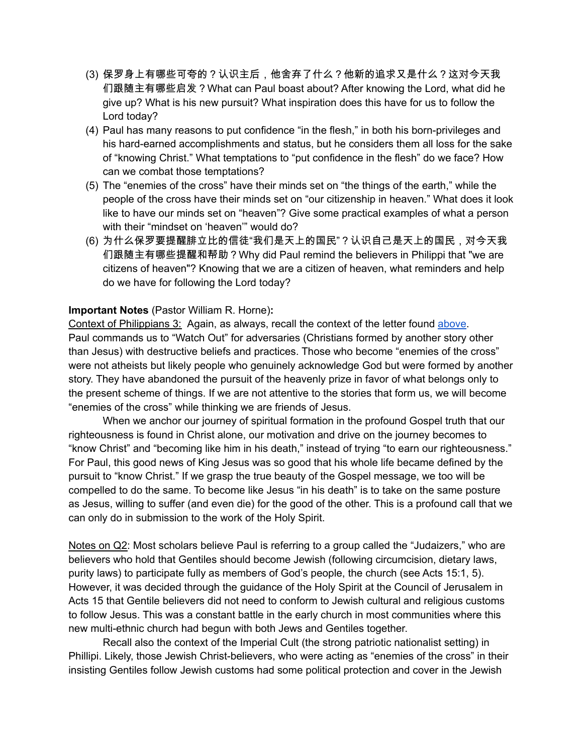- (3) 保罗身上有哪些可夸的?认识主后,他舍弃了什么?他新的追求又是什么?这对今天我 们跟随主有哪些启发?What can Paul boast about? After knowing the Lord, what did he give up? What is his new pursuit? What inspiration does this have for us to follow the Lord today?
- (4) Paul has many reasons to put confidence "in the flesh," in both his born-privileges and his hard-earned accomplishments and status, but he considers them all loss for the sake of "knowing Christ." What temptations to "put confidence in the flesh" do we face? How can we combat those temptations?
- (5) The "enemies of the cross" have their minds set on "the things of the earth," while the people of the cross have their minds set on "our citizenship in heaven." What does it look like to have our minds set on "heaven"? Give some practical examples of what a person with their "mindset on 'heaven'" would do?
- (6) 为什么保罗要提醒腓立比的信徒"我们是天上的国民"?认识自己是天上的国民,对今天我 们跟随主有哪些提醒和帮助?Why did Paul remind the believers in Philippi that "we are citizens of heaven"? Knowing that we are a citizen of heaven, what reminders and help do we have for following the Lord today?

## **Important Notes** (Pastor William R. Horne)**:**

Context of Philippians 3: Again, as always, recall the context of the letter found [above.](#page-0-0) Paul commands us to "Watch Out" for adversaries (Christians formed by another story other than Jesus) with destructive beliefs and practices. Those who become "enemies of the cross" were not atheists but likely people who genuinely acknowledge God but were formed by another story. They have abandoned the pursuit of the heavenly prize in favor of what belongs only to the present scheme of things. If we are not attentive to the stories that form us, we will become "enemies of the cross" while thinking we are friends of Jesus.

When we anchor our journey of spiritual formation in the profound Gospel truth that our righteousness is found in Christ alone, our motivation and drive on the journey becomes to "know Christ" and "becoming like him in his death," instead of trying "to earn our righteousness." For Paul, this good news of King Jesus was so good that his whole life became defined by the pursuit to "know Christ." If we grasp the true beauty of the Gospel message, we too will be compelled to do the same. To become like Jesus "in his death" is to take on the same posture as Jesus, willing to suffer (and even die) for the good of the other. This is a profound call that we can only do in submission to the work of the Holy Spirit.

Notes on Q2: Most scholars believe Paul is referring to a group called the "Judaizers," who are believers who hold that Gentiles should become Jewish (following circumcision, dietary laws, purity laws) to participate fully as members of God's people, the church (see Acts 15:1, 5). However, it was decided through the guidance of the Holy Spirit at the Council of Jerusalem in Acts 15 that Gentile believers did not need to conform to Jewish cultural and religious customs to follow Jesus. This was a constant battle in the early church in most communities where this new multi-ethnic church had begun with both Jews and Gentiles together.

Recall also the context of the Imperial Cult (the strong patriotic nationalist setting) in Phillipi. Likely, those Jewish Christ-believers, who were acting as "enemies of the cross" in their insisting Gentiles follow Jewish customs had some political protection and cover in the Jewish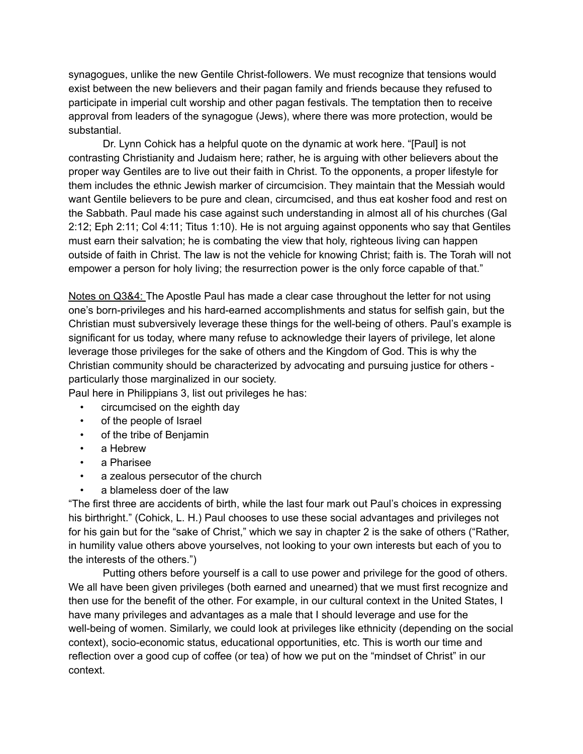synagogues, unlike the new Gentile Christ-followers. We must recognize that tensions would exist between the new believers and their pagan family and friends because they refused to participate in imperial cult worship and other pagan festivals. The temptation then to receive approval from leaders of the synagogue (Jews), where there was more protection, would be substantial.

Dr. Lynn Cohick has a helpful quote on the dynamic at work here. "[Paul] is not contrasting Christianity and Judaism here; rather, he is arguing with other believers about the proper way Gentiles are to live out their faith in Christ. To the opponents, a proper lifestyle for them includes the ethnic Jewish marker of circumcision. They maintain that the Messiah would want Gentile believers to be pure and clean, circumcised, and thus eat kosher food and rest on the Sabbath. Paul made his case against such understanding in almost all of his churches (Gal 2:12; Eph 2:11; Col 4:11; Titus 1:10). He is not arguing against opponents who say that Gentiles must earn their salvation; he is combating the view that holy, righteous living can happen outside of faith in Christ. The law is not the vehicle for knowing Christ; faith is. The Torah will not empower a person for holy living; the resurrection power is the only force capable of that."

Notes on Q3&4: The Apostle Paul has made a clear case throughout the letter for not using one's born-privileges and his hard-earned accomplishments and status for selfish gain, but the Christian must subversively leverage these things for the well-being of others. Paul's example is significant for us today, where many refuse to acknowledge their layers of privilege, let alone leverage those privileges for the sake of others and the Kingdom of God. This is why the Christian community should be characterized by advocating and pursuing justice for others particularly those marginalized in our society.

Paul here in Philippians 3, list out privileges he has:

- circumcised on the eighth day
- of the people of Israel
- of the tribe of Benjamin
- a Hebrew
- a Pharisee
- a zealous persecutor of the church
- a blameless doer of the law

"The first three are accidents of birth, while the last four mark out Paul's choices in expressing his birthright." (Cohick, L. H.) Paul chooses to use these social advantages and privileges not for his gain but for the "sake of Christ," which we say in chapter 2 is the sake of others ("Rather, in humility value others above yourselves, not looking to your own interests but each of you to the interests of the others.")

Putting others before yourself is a call to use power and privilege for the good of others. We all have been given privileges (both earned and unearned) that we must first recognize and then use for the benefit of the other. For example, in our cultural context in the United States, I have many privileges and advantages as a male that I should leverage and use for the well-being of women. Similarly, we could look at privileges like ethnicity (depending on the social context), socio-economic status, educational opportunities, etc. This is worth our time and reflection over a good cup of coffee (or tea) of how we put on the "mindset of Christ" in our context.